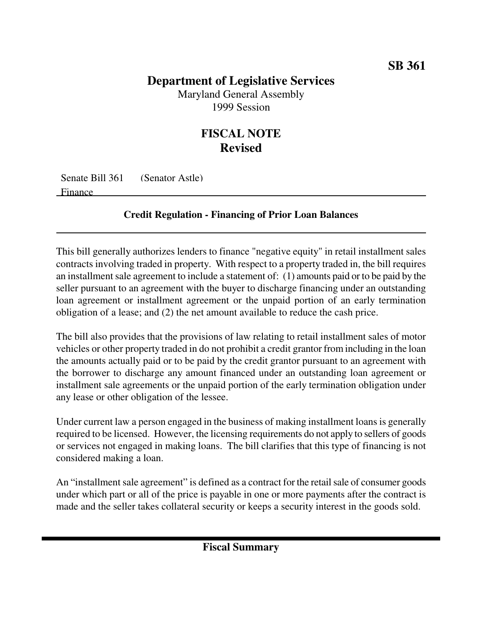## **Department of Legislative Services**

Maryland General Assembly 1999 Session

## **FISCAL NOTE Revised**

Senate Bill 361 (Senator Astle) Finance

## **Credit Regulation - Financing of Prior Loan Balances**

This bill generally authorizes lenders to finance "negative equity" in retail installment sales contracts involving traded in property. With respect to a property traded in, the bill requires an installment sale agreement to include a statement of:  $(1)$  amounts paid or to be paid by the seller pursuant to an agreement with the buyer to discharge financing under an outstanding loan agreement or installment agreement or the unpaid portion of an early termination obligation of a lease; and (2) the net amount available to reduce the cash price.

The bill also provides that the provisions of law relating to retail installment sales of motor vehicles or other property traded in do not prohibit a credit grantor from including in the loan the amounts actually paid or to be paid by the credit grantor pursuant to an agreement with the borrower to discharge any amount financed under an outstanding loan agreement or installment sale agreements or the unpaid portion of the early termination obligation under any lease or other obligation of the lessee.

Under current law a person engaged in the business of making installment loans is generally required to be licensed. However, the licensing requirements do not apply to sellers of goods or services not engaged in making loans. The bill clarifies that this type of financing is not considered making a loan.

An "installment sale agreement" is defined as a contract for the retail sale of consumer goods under which part or all of the price is payable in one or more payments after the contract is made and the seller takes collateral security or keeps a security interest in the goods sold.